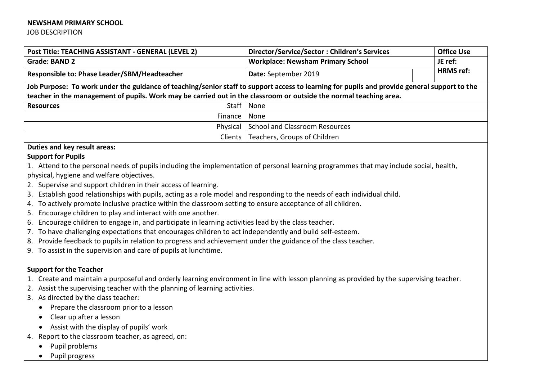#### **NEWSHAM PRIMARY SCHOOL**

JOB DESCRIPTION

| Post Title: TEACHING ASSISTANT - GENERAL (LEVEL 2)                                                                                           | Director/Service/Sector: Children's Services | <b>Office Use</b>           |  |  |
|----------------------------------------------------------------------------------------------------------------------------------------------|----------------------------------------------|-----------------------------|--|--|
| <b>Grade: BAND 2</b>                                                                                                                         | <b>Workplace: Newsham Primary School</b>     | JE ref:<br><b>HRMS</b> ref: |  |  |
| Responsible to: Phase Leader/SBM/Headteacher                                                                                                 | Date: September 2019                         |                             |  |  |
| Job Purpose: To work under the guidance of teaching/senior staff to support access to learning for pupils and provide general support to the |                                              |                             |  |  |
| teacher in the management of pupils. Work may be carried out in the classroom or outside the normal teaching area.                           |                                              |                             |  |  |
| Staff  <br><b>Resources</b>                                                                                                                  | None                                         |                             |  |  |
| Finance                                                                                                                                      | None                                         |                             |  |  |
| Physical                                                                                                                                     | <b>School and Classroom Resources</b>        |                             |  |  |
| Clients                                                                                                                                      | Teachers, Groups of Children                 |                             |  |  |
| - -<br>. .                                                                                                                                   |                                              |                             |  |  |

### **Duties and key result areas:**

#### **Support for Pupils**

- 1. Attend to the personal needs of pupils including the implementation of personal learning programmes that may include social, health, physical, hygiene and welfare objectives.
- 2. Supervise and support children in their access of learning.
- 3. Establish good relationships with pupils, acting as a role model and responding to the needs of each individual child.
- 4. To actively promote inclusive practice within the classroom setting to ensure acceptance of all children.
- 5. Encourage children to play and interact with one another.
- 6. Encourage children to engage in, and participate in learning activities lead by the class teacher.
- 7. To have challenging expectations that encourages children to act independently and build self-esteem.
- 8. Provide feedback to pupils in relation to progress and achievement under the guidance of the class teacher.
- 9. To assist in the supervision and care of pupils at lunchtime.

# **Support for the Teacher**

- 1. Create and maintain a purposeful and orderly learning environment in line with lesson planning as provided by the supervising teacher.
- 2. Assist the supervising teacher with the planning of learning activities.
- 3. As directed by the class teacher:
	- Prepare the classroom prior to a lesson
	- Clear up after a lesson
	- Assist with the display of pupils' work
- 4. Report to the classroom teacher, as agreed, on:
	- Pupil problems
	- Pupil progress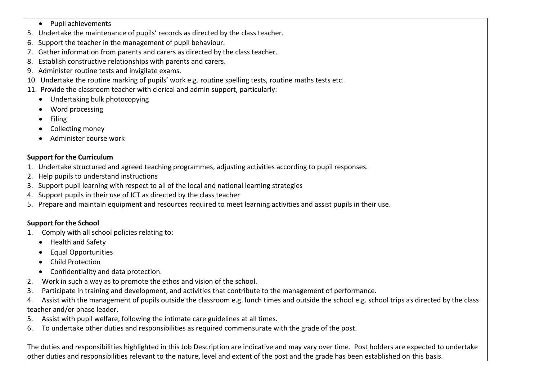- Pupil achievements
- 5. Undertake the maintenance of pupils' records as directed by the class teacher.
- 6. Support the teacher in the management of pupil behaviour.
- 7. Gather information from parents and carers as directed by the class teacher.
- 8. Establish constructive relationships with parents and carers.
- 9. Administer routine tests and invigilate exams.
- 10. Undertake the routine marking of pupils' work e.g. routine spelling tests, routine maths tests etc.
- 11. Provide the classroom teacher with clerical and admin support, particularly:
	- Undertaking bulk photocopying
	- Word processing
	- Filing
	- Collecting money
	- Administer course work

# **Support for the Curriculum**

- 1. Undertake structured and agreed teaching programmes, adjusting activities according to pupil responses.
- 2. Help pupils to understand instructions
- 3. Support pupil learning with respect to all of the local and national learning strategies
- 4. Support pupils in their use of ICT as directed by the class teacher
- 5. Prepare and maintain equipment and resources required to meet learning activities and assist pupils in their use.

# **Support for the School**

- 1. Comply with all school policies relating to:
	- Health and Safety
	- Equal Opportunities
	- Child Protection
	- Confidentiality and data protection.
- 2. Work in such a way as to promote the ethos and vision of the school.
- 3. Participate in training and development, and activities that contribute to the management of performance.
- 4. Assist with the management of pupils outside the classroom e.g. lunch times and outside the school e.g. school trips as directed by the class teacher and/or phase leader.
- 5. Assist with pupil welfare, following the intimate care guidelines at all times.
- 6. To undertake other duties and responsibilities as required commensurate with the grade of the post.

The duties and responsibilities highlighted in this Job Description are indicative and may vary over time. Post holders are expected to undertake other duties and responsibilities relevant to the nature, level and extent of the post and the grade has been established on this basis.